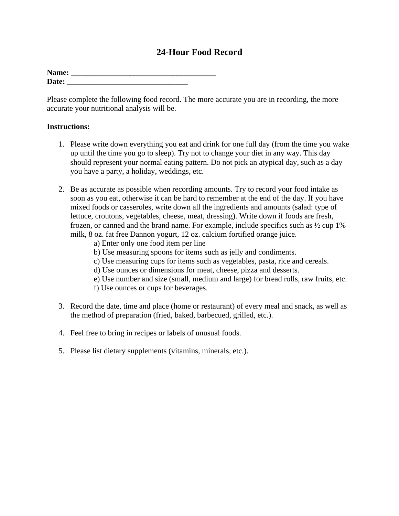## **24-Hour Food Record**

| Name: |  |
|-------|--|
| Date: |  |

Please complete the following food record. The more accurate you are in recording, the more accurate your nutritional analysis will be.

## **Instructions:**

- 1. Please write down everything you eat and drink for one full day (from the time you wake up until the time you go to sleep). Try not to change your diet in any way. This day should represent your normal eating pattern. Do not pick an atypical day, such as a day you have a party, a holiday, weddings, etc.
- 2. Be as accurate as possible when recording amounts. Try to record your food intake as soon as you eat, otherwise it can be hard to remember at the end of the day. If you have mixed foods or casseroles, write down all the ingredients and amounts (salad: type of lettuce, croutons, vegetables, cheese, meat, dressing). Write down if foods are fresh, frozen, or canned and the brand name. For example, include specifics such as ½ cup 1% milk, 8 oz. fat free Dannon yogurt, 12 oz. calcium fortified orange juice.
	- a) Enter only one food item per line
	- b) Use measuring spoons for items such as jelly and condiments.
	- c) Use measuring cups for items such as vegetables, pasta, rice and cereals.
	- d) Use ounces or dimensions for meat, cheese, pizza and desserts.
	- e) Use number and size (small, medium and large) for bread rolls, raw fruits, etc.
	- f) Use ounces or cups for beverages.
- 3. Record the date, time and place (home or restaurant) of every meal and snack, as well as the method of preparation (fried, baked, barbecued, grilled, etc.).
- 4. Feel free to bring in recipes or labels of unusual foods.
- 5. Please list dietary supplements (vitamins, minerals, etc.).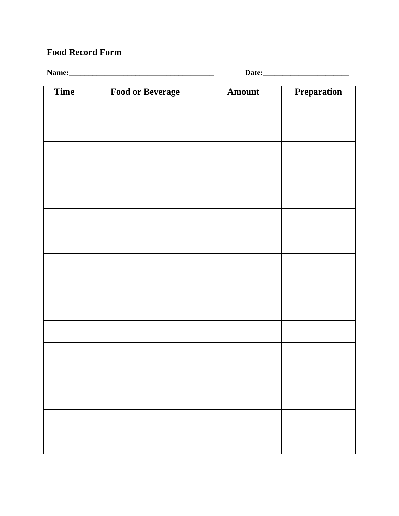## **Food Record Form**

**Name:\_\_\_\_\_\_\_\_\_\_\_\_\_\_\_\_\_\_\_\_\_\_\_\_\_\_\_\_\_\_\_\_\_\_\_\_\_ Date:\_\_\_\_\_\_\_\_\_\_\_\_\_\_\_\_\_\_\_\_\_\_**

| <b>Time</b> | <b>Food or Beverage</b> | Amount | Preparation |
|-------------|-------------------------|--------|-------------|
|             |                         |        |             |
|             |                         |        |             |
|             |                         |        |             |
|             |                         |        |             |
|             |                         |        |             |
|             |                         |        |             |
|             |                         |        |             |
|             |                         |        |             |
|             |                         |        |             |
|             |                         |        |             |
|             |                         |        |             |
|             |                         |        |             |
|             |                         |        |             |
|             |                         |        |             |
|             |                         |        |             |
|             |                         |        |             |
|             |                         |        |             |
|             |                         |        |             |
|             |                         |        |             |
|             |                         |        |             |
|             |                         |        |             |
|             |                         |        |             |
|             |                         |        |             |
|             |                         |        |             |
|             |                         |        |             |